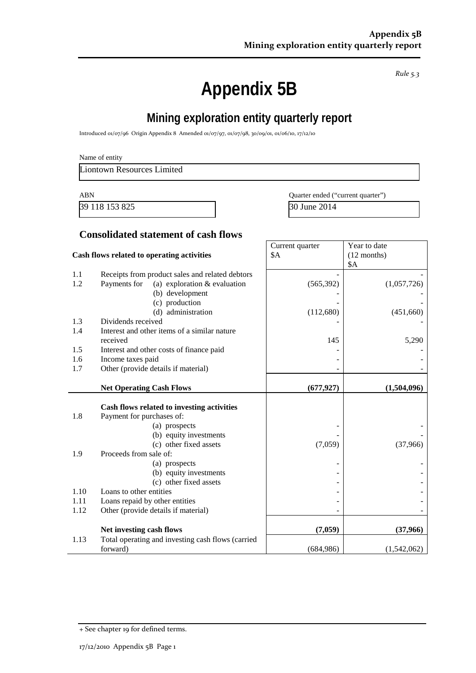*Rule 5.3*

# **Appendix 5B**

# **Mining exploration entity quarterly report**

Introduced 01/07/96 Origin Appendix 8 Amended 01/07/97, 01/07/98, 30/09/01, 01/06/10, 17/12/10

Liontown Resources Limited

39 118 153 825 30 June 2014

ABN Quarter ended ("current quarter")

Year to date

Current quarter

#### **Consolidated statement of cash flows**

| Cash flows related to operating activities |                                                   | \$A        | $(12$ months) |
|--------------------------------------------|---------------------------------------------------|------------|---------------|
| 1.1                                        | Receipts from product sales and related debtors   |            | \$Α           |
| 1.2                                        | Payments for<br>(a) exploration $&$ evaluation    | (565, 392) | (1,057,726)   |
|                                            | (b) development                                   |            |               |
|                                            | (c) production                                    |            |               |
|                                            | (d) administration                                | (112,680)  | (451,660)     |
| 1.3                                        | Dividends received                                |            |               |
| 1.4                                        | Interest and other items of a similar nature      |            |               |
|                                            | received                                          | 145        | 5,290         |
| 1.5                                        | Interest and other costs of finance paid          |            |               |
| 1.6                                        | Income taxes paid                                 |            |               |
| 1.7                                        | Other (provide details if material)               |            |               |
|                                            |                                                   |            |               |
|                                            | <b>Net Operating Cash Flows</b>                   | (677, 927) | (1,504,096)   |
|                                            | Cash flows related to investing activities        |            |               |
| 1.8                                        | Payment for purchases of:                         |            |               |
|                                            | (a) prospects                                     |            |               |
|                                            | (b) equity investments                            |            |               |
|                                            | (c) other fixed assets                            | (7,059)    | (37,966)      |
| 1.9                                        | Proceeds from sale of:                            |            |               |
|                                            | (a) prospects                                     |            |               |
|                                            | (b) equity investments                            |            |               |
|                                            | (c) other fixed assets                            |            |               |
| 1.10                                       | Loans to other entities                           |            |               |
| 1.11                                       | Loans repaid by other entities                    |            |               |
| 1.12                                       | Other (provide details if material)               |            |               |
|                                            | Net investing cash flows                          | (7,059)    | (37,966)      |
| 1.13                                       | Total operating and investing cash flows (carried |            |               |
|                                            | forward)                                          | (684,986)  | (1,542,062)   |

<sup>+</sup> See chapter 19 for defined terms.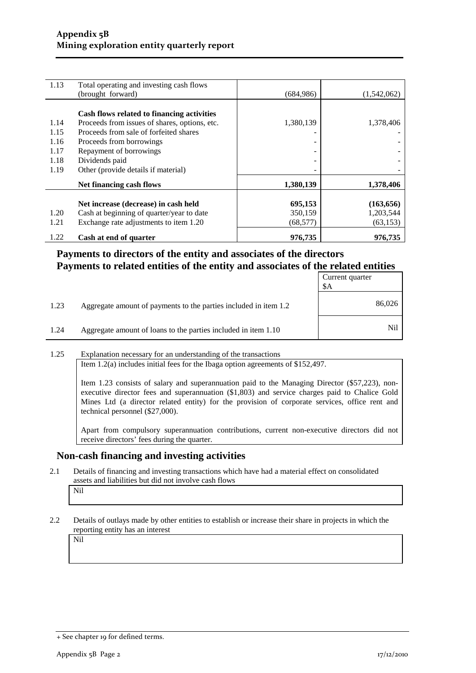| 1.13 | Total operating and investing cash flows      |            |             |
|------|-----------------------------------------------|------------|-------------|
|      | (brought forward)                             | (684, 986) | (1,542,062) |
|      |                                               |            |             |
|      | Cash flows related to financing activities    |            |             |
| 1.14 | Proceeds from issues of shares, options, etc. | 1,380,139  | 1,378,406   |
| 1.15 | Proceeds from sale of forfeited shares        |            |             |
| 1.16 | Proceeds from borrowings                      |            |             |
| 1.17 | Repayment of borrowings                       | -          |             |
| 1.18 | Dividends paid                                | -          |             |
| 1.19 | Other (provide details if material)           |            |             |
|      |                                               |            |             |
|      | Net financing cash flows                      | 1,380,139  | 1,378,406   |
|      |                                               |            |             |
|      | Net increase (decrease) in cash held          | 695,153    | (163, 656)  |
| 1.20 | Cash at beginning of quarter/year to date     | 350,159    | 1,203,544   |
| 1.21 | Exchange rate adjustments to item 1.20        | (68, 577)  | (63, 153)   |
| 1.22 | Cash at end of quarter                        | 976,735    | 976,735     |

## **Payments to directors of the entity and associates of the directors Payments to related entities of the entity and associates of the related entities**

|      |                                                                  | Current quarter<br>\$A |
|------|------------------------------------------------------------------|------------------------|
| 1.23 | Aggregate amount of payments to the parties included in item 1.2 | 86,026                 |
| 1.24 | Aggregate amount of loans to the parties included in item 1.10   | Nil                    |

#### 1.25 Explanation necessary for an understanding of the transactions

Item 1.2(a) includes initial fees for the Ibaga option agreements of \$152,497.

Item 1.23 consists of salary and superannuation paid to the Managing Director (\$57,223), nonexecutive director fees and superannuation (\$1,803) and service charges paid to Chalice Gold Mines Ltd (a director related entity) for the provision of corporate services, office rent and technical personnel (\$27,000).

Apart from compulsory superannuation contributions, current non-executive directors did not receive directors' fees during the quarter.

#### **Non-cash financing and investing activities**

2.1 Details of financing and investing transactions which have had a material effect on consolidated assets and liabilities but did not involve cash flows

#### Nil

2.2 Details of outlays made by other entities to establish or increase their share in projects in which the reporting entity has an interest

Nil

<sup>+</sup> See chapter 19 for defined terms.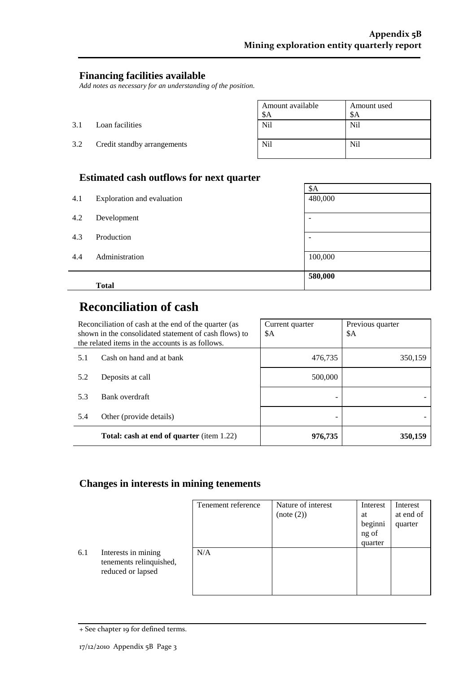## **Financing facilities available**

*Add notes as necessary for an understanding of the position.*

|     |                             | Amount available<br>\$A | Amount used<br>\$A |
|-----|-----------------------------|-------------------------|--------------------|
| 3.1 | Loan facilities             | Nil                     | Nil                |
| 3.2 | Credit standby arrangements | N <sub>il</sub>         | N <sub>il</sub>    |

## **Estimated cash outflows for next quarter**

|     | $\overline{\phantom{a}}$   | \$A                      |
|-----|----------------------------|--------------------------|
| 4.1 | Exploration and evaluation | 480,000                  |
|     |                            |                          |
| 4.2 | Development                | $\overline{\phantom{a}}$ |
|     |                            |                          |
| 4.3 | Production                 | $\overline{\phantom{a}}$ |
|     |                            |                          |
| 4.4 | Administration             | 100,000                  |
|     |                            |                          |
|     |                            | 580,000                  |
|     | <b>Total</b>               |                          |

# **Reconciliation of cash**

| Reconciliation of cash at the end of the quarter (as<br>shown in the consolidated statement of cash flows) to<br>the related items in the accounts is as follows. |                         | Current quarter<br>\$A | Previous quarter<br>\$A |
|-------------------------------------------------------------------------------------------------------------------------------------------------------------------|-------------------------|------------------------|-------------------------|
| Cash on hand and at bank<br>5.1                                                                                                                                   |                         | 476,735                | 350,159                 |
| 5.2                                                                                                                                                               | Deposits at call        | 500,000                |                         |
| 5.3                                                                                                                                                               | Bank overdraft          |                        |                         |
| 5.4                                                                                                                                                               | Other (provide details) |                        |                         |
| <b>Total: cash at end of quarter</b> (item 1.22)                                                                                                                  |                         | 976,735                | 350,159                 |

#### **Changes in interests in mining tenements**

|     |                                                                     | Tenement reference | Nature of interest<br>(note (2)) | Interest<br>at<br>beginni<br>ng of<br>quarter | Interest<br>at end of<br>quarter |
|-----|---------------------------------------------------------------------|--------------------|----------------------------------|-----------------------------------------------|----------------------------------|
| 6.1 | Interests in mining<br>tenements relinquished,<br>reduced or lapsed | N/A                |                                  |                                               |                                  |

<sup>+</sup> See chapter 19 for defined terms.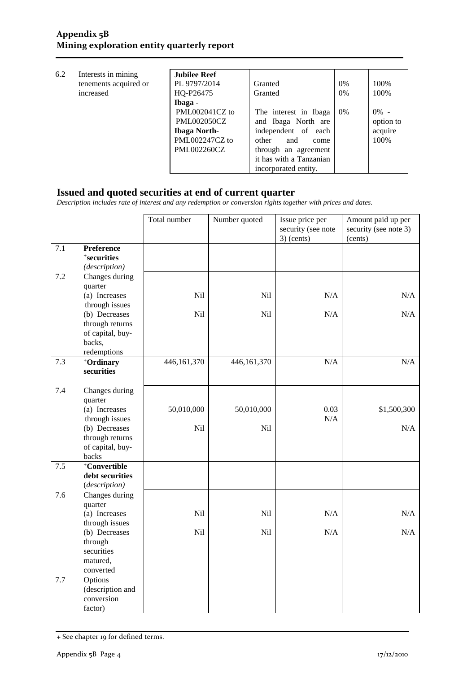| 6.2 | Interests in mining   | <b>Jubilee Reef</b> |                         |       |           |
|-----|-----------------------|---------------------|-------------------------|-------|-----------|
|     | tenements acquired or | PL 9797/2014        | Granted                 | $0\%$ | 100%      |
|     | increased             | HQ-P26475           | Granted                 | $0\%$ | 100%      |
|     |                       | Ibaga -             |                         |       |           |
|     |                       | PML002041CZ to      | The interest in Ibaga   | 0%    | $0\%$ -   |
|     |                       | <b>PML002050CZ</b>  | and Ibaga North are     |       | option to |
|     |                       | <b>Ibaga North-</b> | independent of each     |       | acquire   |
|     |                       | PML002247CZ to      | other<br>and<br>come    |       | 100%      |
|     |                       | <b>PML002260CZ</b>  | through an agreement    |       |           |
|     |                       |                     | it has with a Tanzanian |       |           |
|     |                       |                     | incorporated entity.    |       |           |

#### **Issued and quoted securities at end of current quarter**

*Description includes rate of interest and any redemption or conversion rights together with prices and dates.*

|       |                                                                               | Total number  | Number quoted | Issue price per<br>security (see note<br>$3)$ (cents) | Amount paid up per<br>security (see note 3)<br>(cents) |
|-------|-------------------------------------------------------------------------------|---------------|---------------|-------------------------------------------------------|--------------------------------------------------------|
| 7.1   | <b>Preference</b><br><sup>+</sup> securities<br>(description)                 |               |               |                                                       |                                                        |
| 7.2   | Changes during<br>quarter<br>(a) Increases                                    | Nil           | Nil           | N/A                                                   | N/A                                                    |
|       | through issues                                                                |               |               |                                                       |                                                        |
|       | (b) Decreases<br>through returns<br>of capital, buy-<br>backs,<br>redemptions | Nil           | Nil           | $\rm N/A$                                             | $\rm N/A$                                              |
| 7.3   | +Ordinary<br>securities                                                       | 446, 161, 370 | 446,161,370   | N/A                                                   | N/A                                                    |
| 7.4   | Changes during<br>quarter<br>(a) Increases<br>through issues                  | 50,010,000    | 50,010,000    | 0.03<br>N/A                                           | \$1,500,300                                            |
|       | (b) Decreases<br>through returns<br>of capital, buy-<br>backs                 | Nil           | Nil           |                                                       | N/A                                                    |
| $7.5$ | +Convertible<br>debt securities<br>(description)                              |               |               |                                                       |                                                        |
| 7.6   | Changes during<br>quarter                                                     |               |               |                                                       |                                                        |
|       | (a) Increases<br>through issues                                               | Nil           | Nil           | N/A                                                   | N/A                                                    |
|       | (b) Decreases<br>through<br>securities<br>matured,<br>converted               | Nil           | Nil           | $\rm N/A$                                             | $\rm N/A$                                              |
| 7.7   | Options<br>(description and<br>conversion<br>factor)                          |               |               |                                                       |                                                        |

<sup>+</sup> See chapter 19 for defined terms.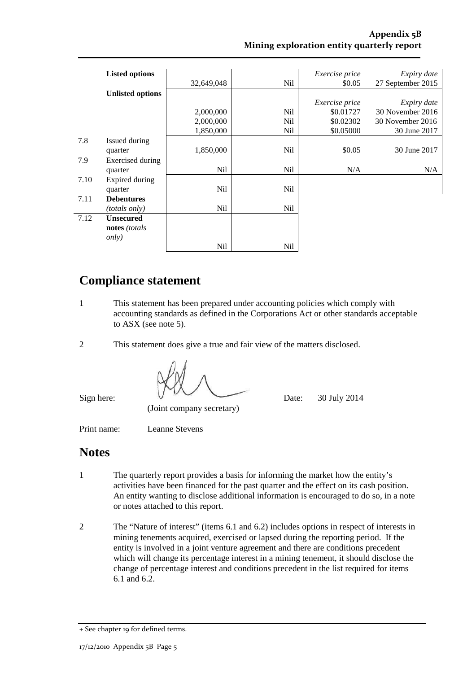|      | <b>Listed options</b>   |            |                 | Exercise price | Expiry date       |
|------|-------------------------|------------|-----------------|----------------|-------------------|
|      |                         | 32,649,048 | N <sub>il</sub> | \$0.05         | 27 September 2015 |
|      | <b>Unlisted options</b> |            |                 |                |                   |
|      |                         |            |                 | Exercise price | Expiry date       |
|      |                         | 2,000,000  | Nil             | \$0.01727      | 30 November 2016  |
|      |                         | 2,000,000  | Nil             | \$0.02302      | 30 November 2016  |
|      |                         | 1,850,000  | Nil             | \$0.05000      | 30 June 2017      |
| 7.8  | Issued during           |            |                 |                |                   |
|      | quarter                 | 1,850,000  | N <sub>il</sub> | \$0.05         | 30 June 2017      |
| 7.9  | Exercised during        |            |                 |                |                   |
|      | quarter                 | Nil        | Nil             | N/A            | N/A               |
| 7.10 | Expired during          |            |                 |                |                   |
|      | quarter                 | Nil        | Nil             |                |                   |
| 7.11 | <b>Debentures</b>       |            |                 |                |                   |
|      | <i>(totals only)</i>    | Nil        | Nil             |                |                   |
| 7.12 | <b>Unsecured</b>        |            |                 |                |                   |
|      | notes (totals           |            |                 |                |                   |
|      | <i>only</i> )           |            |                 |                |                   |
|      |                         | <b>Nil</b> | Nil             |                |                   |

# **Compliance statement**

- 1 This statement has been prepared under accounting policies which comply with accounting standards as defined in the Corporations Act or other standards acceptable to ASX (see note 5).
- 2 This statement does give a true and fair view of the matters disclosed.

Sign here:  $0 \times 10^9$  Date: 30 July 2014

(Joint company secretary)

Print name: Leanne Stevens

## **Notes**

- 1 The quarterly report provides a basis for informing the market how the entity's activities have been financed for the past quarter and the effect on its cash position. An entity wanting to disclose additional information is encouraged to do so, in a note or notes attached to this report.
- 2 The "Nature of interest" (items 6.1 and 6.2) includes options in respect of interests in mining tenements acquired, exercised or lapsed during the reporting period. If the entity is involved in a joint venture agreement and there are conditions precedent which will change its percentage interest in a mining tenement, it should disclose the change of percentage interest and conditions precedent in the list required for items 6.1 and 6.2.

<sup>+</sup> See chapter 19 for defined terms.